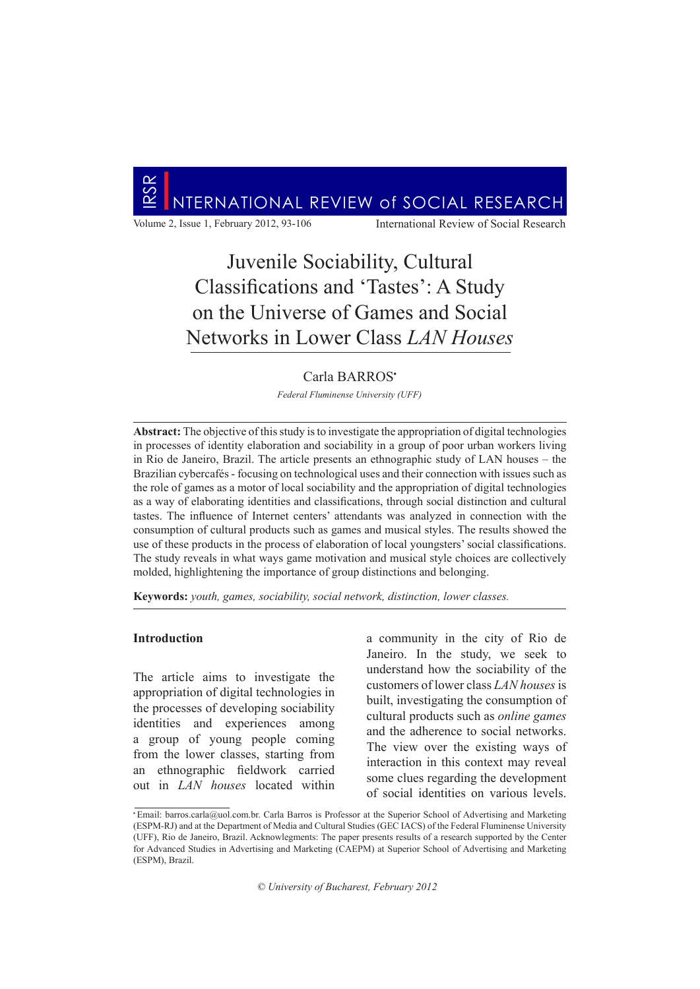

Volume 2, Issue 1, February 2012, 93-106 International Review of Social Research

# Juvenile Sociability, Cultural Classifications and 'Tastes': A Study on the Universe of Games and Social Networks in Lower Class *LAN Houses*

# Carla BARROS**•**

*Federal Fluminense University (UFF)*

**Abstract:** The objective of this study is to investigate the appropriation of digital technologies in processes of identity elaboration and sociability in a group of poor urban workers living in Rio de Janeiro, Brazil. The article presents an ethnographic study of LAN houses – the Brazilian cybercafés - focusing on technological uses and their connection with issues such as the role of games as a motor of local sociability and the appropriation of digital technologies as a way of elaborating identities and classifications, through social distinction and cultural tastes. The influence of Internet centers' attendants was analyzed in connection with the consumption of cultural products such as games and musical styles. The results showed the use of these products in the process of elaboration of local youngsters' social classifications. The study reveals in what ways game motivation and musical style choices are collectively molded, highlightening the importance of group distinctions and belonging.

**Keywords:** *youth, games, sociability, social network, distinction, lower classes.*

#### **Introduction**

The article aims to investigate the appropriation of digital technologies in the processes of developing sociability identities and experiences among a group of young people coming from the lower classes, starting from an ethnographic fieldwork carried out in *LAN houses* located within a community in the city of Rio de Janeiro. In the study, we seek to understand how the sociability of the customers of lower class *LAN houses* is built, investigating the consumption of cultural products such as *online games* and the adherence to social networks. The view over the existing ways of interaction in this context may reveal some clues regarding the development of social identities on various levels.

*© University of Bucharest, February 2012* 

**<sup>•</sup>** Email: barros.carla@uol.com.br. Carla Barros is Professor at the Superior School of Advertising and Marketing (ESPM-RJ) and at the Department of Media and Cultural Studies (GEC IACS) of the Federal Fluminense University (UFF), Rio de Janeiro, Brazil. Acknowlegments: The paper presents results of a research supported by the Center for Advanced Studies in Advertising and Marketing (CAEPM) at Superior School of Advertising and Marketing (ESPM), Brazil.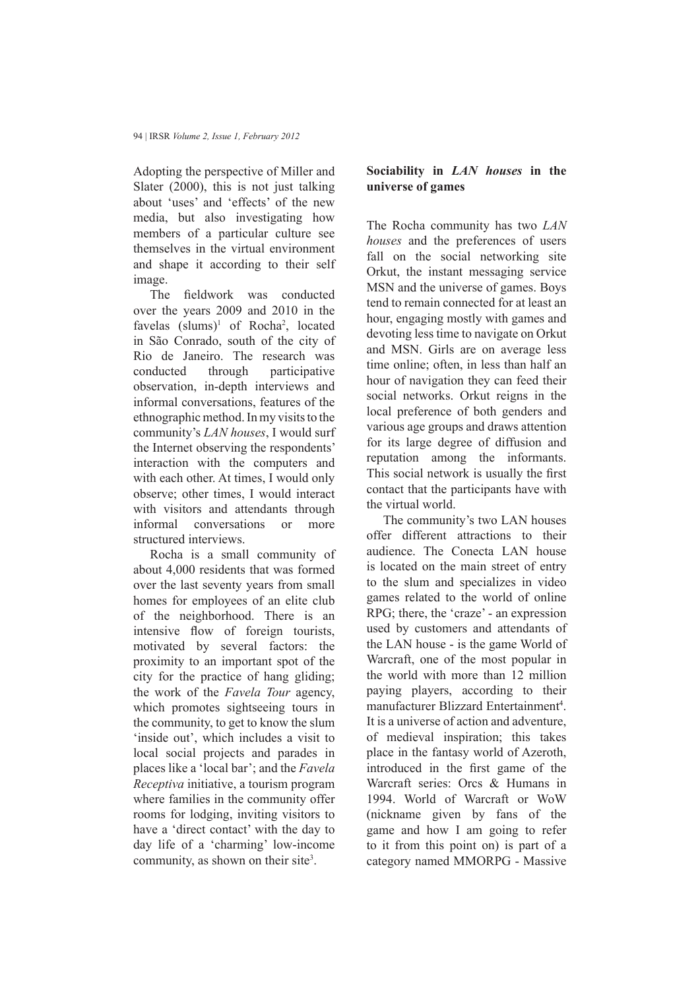Adopting the perspective of Miller and Slater (2000), this is not just talking about 'uses' and 'effects' of the new media, but also investigating how members of a particular culture see themselves in the virtual environment and shape it according to their self image.

The fieldwork was conducted over the years 2009 and 2010 in the favelas  $\text{(slums)}^1$  of Rocha<sup>2</sup>, located in São Conrado, south of the city of Rio de Janeiro. The research was conducted through participative observation, in-depth interviews and informal conversations, features of the ethnographic method. In my visits to the community's *LAN houses*, I would surf the Internet observing the respondents' interaction with the computers and with each other. At times, I would only observe; other times, I would interact with visitors and attendants through informal conversations or more structured interviews.

Rocha is a small community of about 4,000 residents that was formed over the last seventy years from small homes for employees of an elite club of the neighborhood. There is an intensive flow of foreign tourists, motivated by several factors: the proximity to an important spot of the city for the practice of hang gliding; the work of the *Favela Tour* agency, which promotes sightseeing tours in the community, to get to know the slum 'inside out', which includes a visit to local social projects and parades in places like a 'local bar'; and the *Favela Receptiva* initiative, a tourism program where families in the community offer rooms for lodging, inviting visitors to have a 'direct contact' with the day to day life of a 'charming' low-income community, as shown on their site<sup>3</sup>.

# **Sociability in** *LAN houses* **in the universe of games**

The Rocha community has two *LAN houses* and the preferences of users fall on the social networking site Orkut, the instant messaging service MSN and the universe of games. Boys tend to remain connected for at least an hour, engaging mostly with games and devoting less time to navigate on Orkut and MSN. Girls are on average less time online; often, in less than half an hour of navigation they can feed their social networks. Orkut reigns in the local preference of both genders and various age groups and draws attention for its large degree of diffusion and reputation among the informants. This social network is usually the first contact that the participants have with the virtual world.

The community's two LAN houses offer different attractions to their audience. The Conecta LAN house is located on the main street of entry to the slum and specializes in video games related to the world of online RPG; there, the 'craze' - an expression used by customers and attendants of the LAN house - is the game World of Warcraft, one of the most popular in the world with more than 12 million paying players, according to their manufacturer Blizzard Entertainment<sup>4</sup>. It is a universe of action and adventure, of medieval inspiration; this takes place in the fantasy world of Azeroth, introduced in the first game of the Warcraft series: Orcs & Humans in 1994. World of Warcraft or WoW (nickname given by fans of the game and how I am going to refer to it from this point on) is part of a category named MMORPG - Massive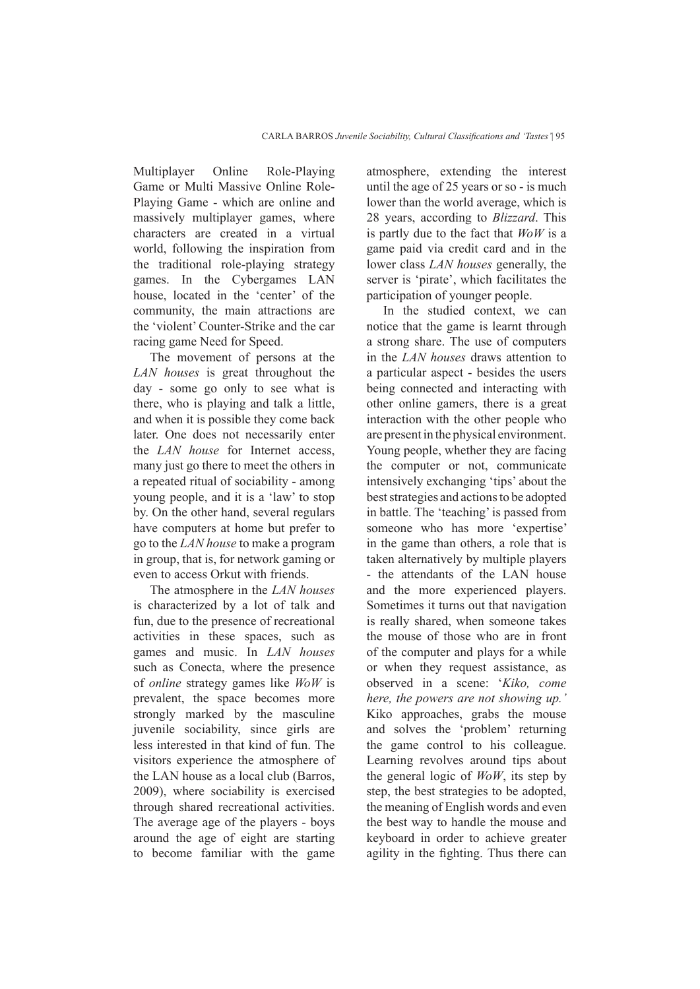Multiplayer Online Role-Playing Game or Multi Massive Online Role-Playing Game - which are online and massively multiplayer games, where characters are created in a virtual world, following the inspiration from the traditional role-playing strategy games. In the Cybergames LAN house, located in the 'center' of the community, the main attractions are the 'violent' Counter-Strike and the car racing game Need for Speed.

The movement of persons at the *LAN houses* is great throughout the day - some go only to see what is there, who is playing and talk a little, and when it is possible they come back later. One does not necessarily enter the *LAN house* for Internet access, many just go there to meet the others in a repeated ritual of sociability - among young people, and it is a 'law' to stop by. On the other hand, several regulars have computers at home but prefer to go to the *LAN house* to make a program in group, that is, for network gaming or even to access Orkut with friends.

The atmosphere in the *LAN houses* is characterized by a lot of talk and fun, due to the presence of recreational activities in these spaces, such as games and music. In *LAN houses* such as Conecta, where the presence of *online* strategy games like *WoW* is prevalent, the space becomes more strongly marked by the masculine juvenile sociability, since girls are less interested in that kind of fun. The visitors experience the atmosphere of the LAN house as a local club (Barros, 2009), where sociability is exercised through shared recreational activities. The average age of the players - boys around the age of eight are starting to become familiar with the game

atmosphere, extending the interest until the age of 25 years or so - is much lower than the world average, which is 28 years, according to *Blizzard*. This is partly due to the fact that *WoW* is a game paid via credit card and in the lower class *LAN houses* generally, the server is 'pirate', which facilitates the participation of younger people.

In the studied context, we can notice that the game is learnt through a strong share. The use of computers in the *LAN houses* draws attention to a particular aspect - besides the users being connected and interacting with other online gamers, there is a great interaction with the other people who are present in the physical environment. Young people, whether they are facing the computer or not, communicate intensively exchanging 'tips' about the best strategies and actions to be adopted in battle. The 'teaching' is passed from someone who has more 'expertise' in the game than others, a role that is taken alternatively by multiple players - the attendants of the LAN house and the more experienced players. Sometimes it turns out that navigation is really shared, when someone takes the mouse of those who are in front of the computer and plays for a while or when they request assistance, as observed in a scene: '*Kiko, come here, the powers are not showing up.'* Kiko approaches, grabs the mouse and solves the 'problem' returning the game control to his colleague. Learning revolves around tips about the general logic of *WoW*, its step by step, the best strategies to be adopted, the meaning of English words and even the best way to handle the mouse and keyboard in order to achieve greater agility in the fighting. Thus there can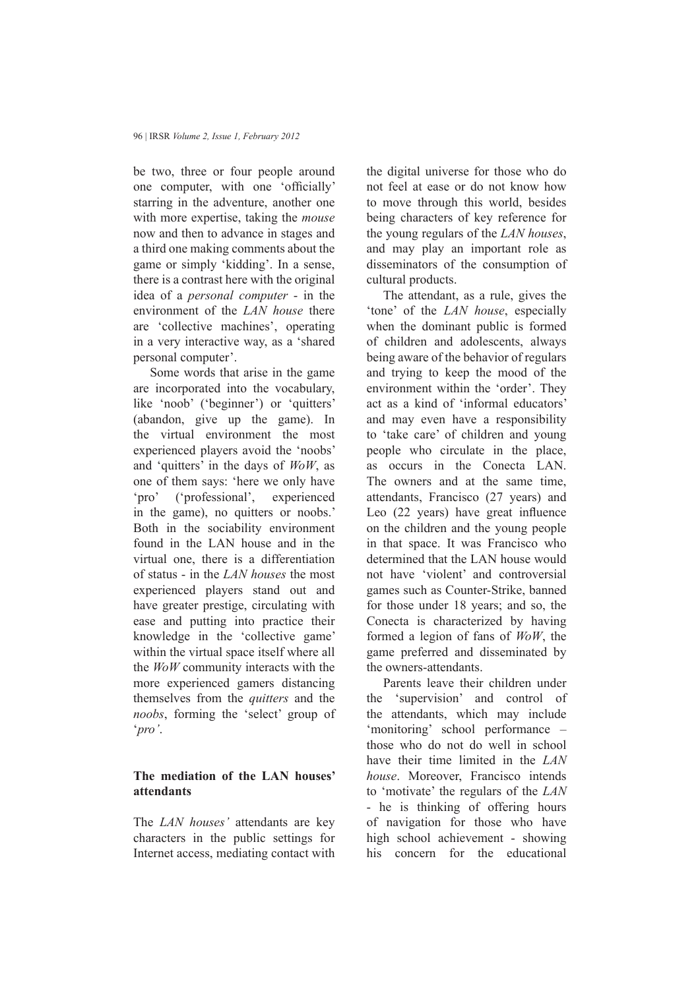be two, three or four people around one computer, with one 'officially' starring in the adventure, another one with more expertise, taking the *mouse* now and then to advance in stages and a third one making comments about the game or simply 'kidding'. In a sense, there is a contrast here with the original idea of a *personal computer* - in the environment of the *LAN house* there are 'collective machines', operating in a very interactive way, as a 'shared personal computer'.

Some words that arise in the game are incorporated into the vocabulary, like 'noob' ('beginner') or 'quitters' (abandon, give up the game). In the virtual environment the most experienced players avoid the 'noobs' and 'quitters' in the days of *WoW*, as one of them says: 'here we only have 'pro' ('professional', experienced in the game), no quitters or noobs.' Both in the sociability environment found in the LAN house and in the virtual one, there is a differentiation of status - in the *LAN houses* the most experienced players stand out and have greater prestige, circulating with ease and putting into practice their knowledge in the 'collective game' within the virtual space itself where all the *WoW* community interacts with the more experienced gamers distancing themselves from the *quitters* and the *noobs*, forming the 'select' group of '*pro'*.

# **The mediation of the LAN houses' attendants**

The *LAN houses'* attendants are key characters in the public settings for Internet access, mediating contact with

the digital universe for those who do not feel at ease or do not know how to move through this world, besides being characters of key reference for the young regulars of the *LAN houses*, and may play an important role as disseminators of the consumption of cultural products.

The attendant, as a rule, gives the 'tone' of the *LAN house*, especially when the dominant public is formed of children and adolescents, always being aware of the behavior of regulars and trying to keep the mood of the environment within the 'order'. They act as a kind of 'informal educators' and may even have a responsibility to 'take care' of children and young people who circulate in the place, as occurs in the Conecta LAN. The owners and at the same time, attendants, Francisco (27 years) and Leo (22 years) have great influence on the children and the young people in that space. It was Francisco who determined that the LAN house would not have 'violent' and controversial games such as Counter-Strike, banned for those under 18 years; and so, the Conecta is characterized by having formed a legion of fans of *WoW*, the game preferred and disseminated by the owners-attendants.

Parents leave their children under the 'supervision' and control of the attendants, which may include 'monitoring' school performance – those who do not do well in school have their time limited in the *LAN house*. Moreover, Francisco intends to 'motivate' the regulars of the *LAN* - he is thinking of offering hours of navigation for those who have high school achievement - showing his concern for the educational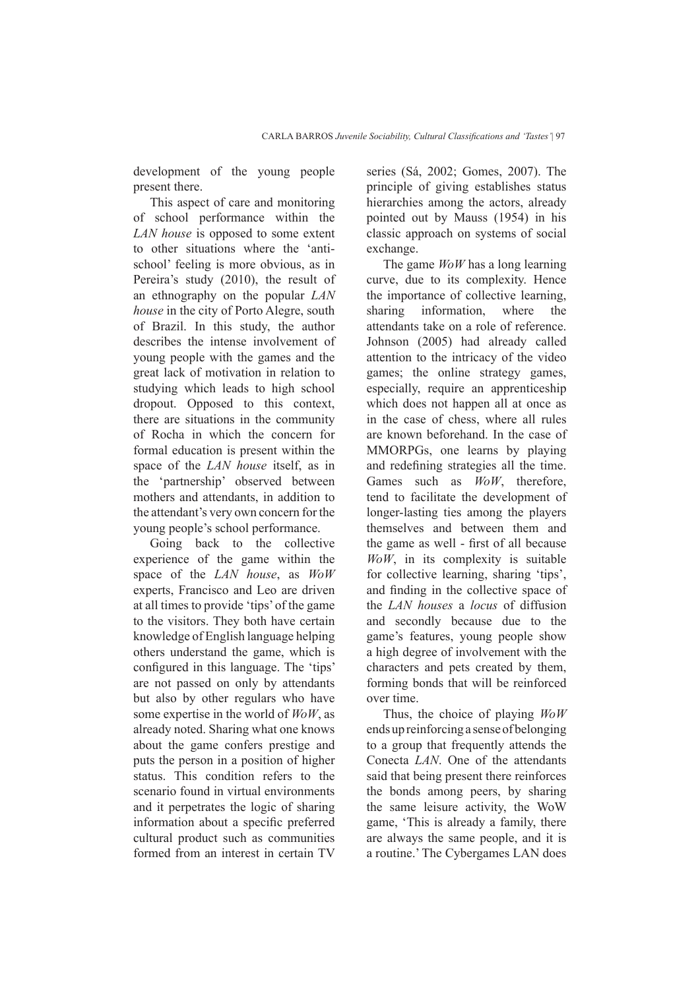development of the young people present there.

This aspect of care and monitoring of school performance within the *LAN house* is opposed to some extent to other situations where the 'antischool' feeling is more obvious, as in Pereira's study (2010), the result of an ethnography on the popular *LAN house* in the city of Porto Alegre, south of Brazil. In this study, the author describes the intense involvement of young people with the games and the great lack of motivation in relation to studying which leads to high school dropout. Opposed to this context, there are situations in the community of Rocha in which the concern for formal education is present within the space of the *LAN house* itself, as in the 'partnership' observed between mothers and attendants, in addition to the attendant's very own concern for the young people's school performance.

Going back to the collective experience of the game within the space of the *LAN house*, as *WoW*  experts, Francisco and Leo are driven at all times to provide 'tips' of the game to the visitors. They both have certain knowledge of English language helping others understand the game, which is configured in this language. The 'tips' are not passed on only by attendants but also by other regulars who have some expertise in the world of *WoW*, as already noted. Sharing what one knows about the game confers prestige and puts the person in a position of higher status. This condition refers to the scenario found in virtual environments and it perpetrates the logic of sharing information about a specific preferred cultural product such as communities formed from an interest in certain TV

series (Sá, 2002; Gomes, 2007). The principle of giving establishes status hierarchies among the actors, already pointed out by Mauss (1954) in his classic approach on systems of social exchange.

The game *WoW* has a long learning curve, due to its complexity. Hence the importance of collective learning, sharing information, where the attendants take on a role of reference. Johnson (2005) had already called attention to the intricacy of the video games; the online strategy games, especially, require an apprenticeship which does not happen all at once as in the case of chess, where all rules are known beforehand. In the case of MMORPGs, one learns by playing and redefining strategies all the time. Games such as *WoW*, therefore, tend to facilitate the development of longer-lasting ties among the players themselves and between them and the game as well - first of all because *WoW*, in its complexity is suitable for collective learning, sharing 'tips', and finding in the collective space of the *LAN houses* a *locus* of diffusion and secondly because due to the game's features, young people show a high degree of involvement with the characters and pets created by them, forming bonds that will be reinforced over time.

Thus, the choice of playing *WoW* ends up reinforcing a sense of belonging to a group that frequently attends the Conecta *LAN*. One of the attendants said that being present there reinforces the bonds among peers, by sharing the same leisure activity, the WoW game, 'This is already a family, there are always the same people, and it is a routine.' The Cybergames LAN does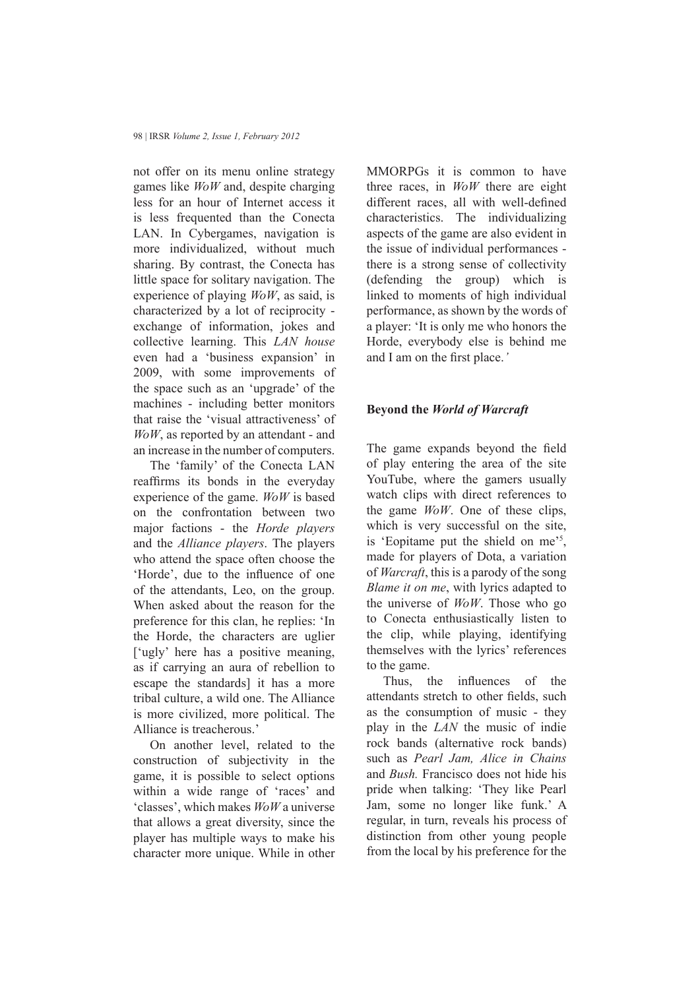not offer on its menu online strategy games like *WoW* and, despite charging less for an hour of Internet access it is less frequented than the Conecta LAN. In Cybergames, navigation is more individualized, without much sharing. By contrast, the Conecta has little space for solitary navigation. The experience of playing *WoW*, as said, is characterized by a lot of reciprocity exchange of information, jokes and collective learning. This *LAN house* even had a 'business expansion' in 2009, with some improvements of the space such as an 'upgrade' of the machines - including better monitors that raise the 'visual attractiveness' of *WoW*, as reported by an attendant - and an increase in the number of computers.

The 'family' of the Conecta LAN reaffirms its bonds in the everyday experience of the game. *WoW* is based on the confrontation between two major factions - the *Horde players* and the *Alliance players*. The players who attend the space often choose the 'Horde', due to the influence of one of the attendants, Leo, on the group. When asked about the reason for the preference for this clan, he replies: 'In the Horde, the characters are uglier ['ugly' here has a positive meaning, as if carrying an aura of rebellion to escape the standards] it has a more tribal culture, a wild one. The Alliance is more civilized, more political. The Alliance is treacherous.'

On another level, related to the construction of subjectivity in the game, it is possible to select options within a wide range of 'races' and 'classes', which makes *WoW* a universe that allows a great diversity, since the player has multiple ways to make his character more unique. While in other

MMORPGs it is common to have three races, in *WoW* there are eight different races, all with well-defined characteristics. The individualizing aspects of the game are also evident in the issue of individual performances there is a strong sense of collectivity (defending the group) which is linked to moments of high individual performance, as shown by the words of a player: 'It is only me who honors the Horde, everybody else is behind me and I am on the first place.*'*

### **Beyond the** *World of Warcraft*

The game expands beyond the field of play entering the area of the site YouTube, where the gamers usually watch clips with direct references to the game *WoW*. One of these clips, which is very successful on the site, is 'Eopitame put the shield on me'<sup>5</sup> , made for players of Dota, a variation of *Warcraft*, this is a parody of the song *Blame it on me*, with lyrics adapted to the universe of *WoW*. Those who go to Conecta enthusiastically listen to the clip, while playing, identifying themselves with the lyrics' references to the game.

Thus, the influences of the attendants stretch to other fields, such as the consumption of music - they play in the *LAN* the music of indie rock bands (alternative rock bands) such as *Pearl Jam, Alice in Chains* and *Bush.* Francisco does not hide his pride when talking: 'They like Pearl Jam, some no longer like funk.' A regular, in turn, reveals his process of distinction from other young people from the local by his preference for the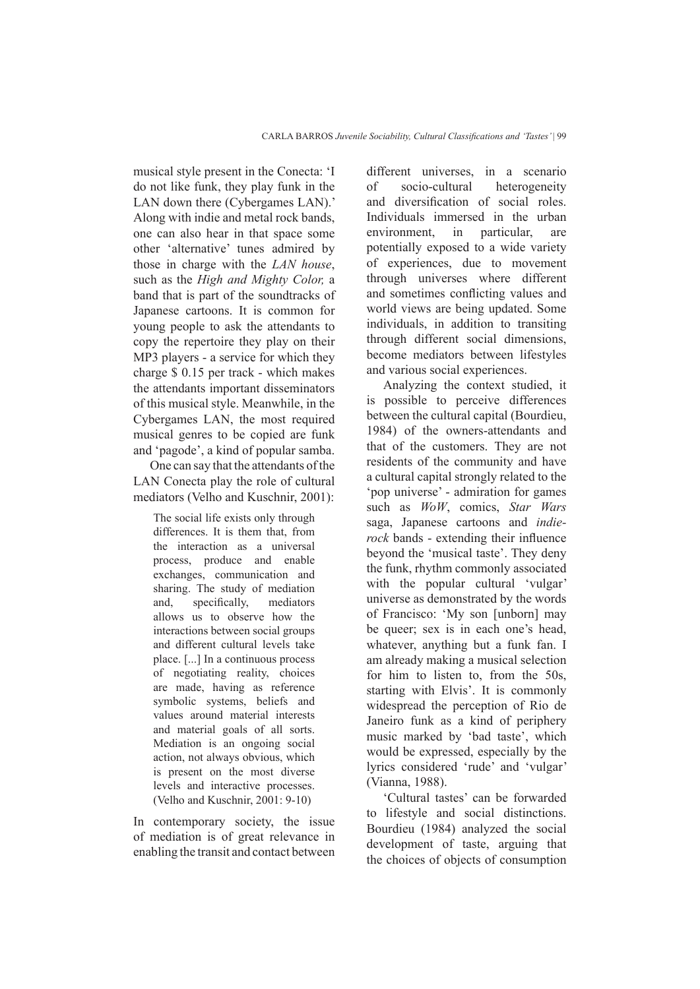musical style present in the Conecta: 'I do not like funk, they play funk in the LAN down there (Cybergames LAN).' Along with indie and metal rock bands, one can also hear in that space some other 'alternative' tunes admired by those in charge with the *LAN house*, such as the *High and Mighty Color,* a band that is part of the soundtracks of Japanese cartoons. It is common for young people to ask the attendants to copy the repertoire they play on their MP3 players - a service for which they charge \$ 0.15 per track - which makes the attendants important disseminators of this musical style. Meanwhile, in the Cybergames LAN, the most required musical genres to be copied are funk and 'pagode', a kind of popular samba.

One can say that the attendants of the LAN Conecta play the role of cultural mediators (Velho and Kuschnir, 2001):

The social life exists only through differences. It is them that, from the interaction as a universal process, produce and enable exchanges, communication and sharing. The study of mediation and, specifically, mediators allows us to observe how the interactions between social groups and different cultural levels take place. [...] In a continuous process of negotiating reality, choices are made, having as reference symbolic systems, beliefs and values around material interests and material goals of all sorts. Mediation is an ongoing social action, not always obvious, which is present on the most diverse levels and interactive processes. (Velho and Kuschnir, 2001: 9-10)

In contemporary society, the issue of mediation is of great relevance in enabling the transit and contact between different universes, in a scenario of socio-cultural heterogeneity and diversification of social roles. Individuals immersed in the urban environment, in particular, are potentially exposed to a wide variety of experiences, due to movement through universes where different and sometimes conflicting values and world views are being updated. Some individuals, in addition to transiting through different social dimensions, become mediators between lifestyles and various social experiences.

Analyzing the context studied, it is possible to perceive differences between the cultural capital (Bourdieu, 1984) of the owners-attendants and that of the customers. They are not residents of the community and have a cultural capital strongly related to the 'pop universe' - admiration for games such as *WoW*, comics, *Star Wars* saga, Japanese cartoons and *indierock* bands - extending their influence beyond the 'musical taste'. They deny the funk, rhythm commonly associated with the popular cultural 'vulgar' universe as demonstrated by the words of Francisco: 'My son [unborn] may be queer; sex is in each one's head, whatever, anything but a funk fan. I am already making a musical selection for him to listen to, from the 50s, starting with Elvis'. It is commonly widespread the perception of Rio de Janeiro funk as a kind of periphery music marked by 'bad taste', which would be expressed, especially by the lyrics considered 'rude' and 'vulgar' (Vianna, 1988).

'Cultural tastes' can be forwarded to lifestyle and social distinctions. Bourdieu (1984) analyzed the social development of taste, arguing that the choices of objects of consumption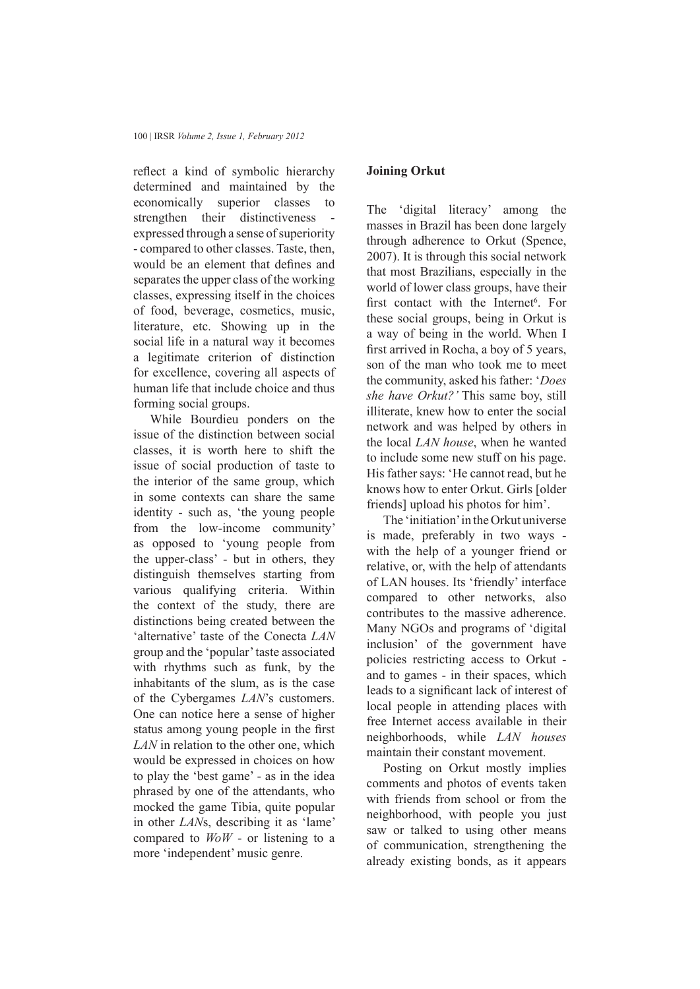reflect a kind of symbolic hierarchy determined and maintained by the economically superior classes to strengthen their distinctiveness expressed through a sense of superiority - compared to other classes. Taste, then, would be an element that defines and separates the upper class of the working classes, expressing itself in the choices of food, beverage, cosmetics, music, literature, etc. Showing up in the social life in a natural way it becomes a legitimate criterion of distinction for excellence, covering all aspects of human life that include choice and thus forming social groups.

While Bourdieu ponders on the issue of the distinction between social classes, it is worth here to shift the issue of social production of taste to the interior of the same group, which in some contexts can share the same identity - such as, 'the young people from the low-income community' as opposed to 'young people from the upper-class' - but in others, they distinguish themselves starting from various qualifying criteria. Within the context of the study, there are distinctions being created between the 'alternative' taste of the Conecta *LAN* group and the 'popular' taste associated with rhythms such as funk, by the inhabitants of the slum, as is the case of the Cybergames *LAN*'s customers. One can notice here a sense of higher status among young people in the first *LAN* in relation to the other one, which would be expressed in choices on how to play the 'best game' - as in the idea phrased by one of the attendants, who mocked the game Tibia, quite popular in other *LAN*s, describing it as 'lame' compared to *WoW* - or listening to a more 'independent' music genre.

#### **Joining Orkut**

The 'digital literacy' among the masses in Brazil has been done largely through adherence to Orkut (Spence, 2007). It is through this social network that most Brazilians, especially in the world of lower class groups, have their first contact with the Internet<sup>6</sup>. For these social groups, being in Orkut is a way of being in the world. When I first arrived in Rocha, a boy of 5 years, son of the man who took me to meet the community, asked his father: '*Does she have Orkut?'* This same boy, still illiterate, knew how to enter the social network and was helped by others in the local *LAN house*, when he wanted to include some new stuff on his page. His father says: 'He cannot read, but he knows how to enter Orkut. Girls [older friends] upload his photos for him'.

The 'initiation' in the Orkut universe is made, preferably in two ways with the help of a younger friend or relative, or, with the help of attendants of LAN houses. Its 'friendly' interface compared to other networks, also contributes to the massive adherence. Many NGOs and programs of 'digital inclusion' of the government have policies restricting access to Orkut and to games - in their spaces, which leads to a significant lack of interest of local people in attending places with free Internet access available in their neighborhoods, while *LAN houses* maintain their constant movement.

Posting on Orkut mostly implies comments and photos of events taken with friends from school or from the neighborhood, with people you just saw or talked to using other means of communication, strengthening the already existing bonds, as it appears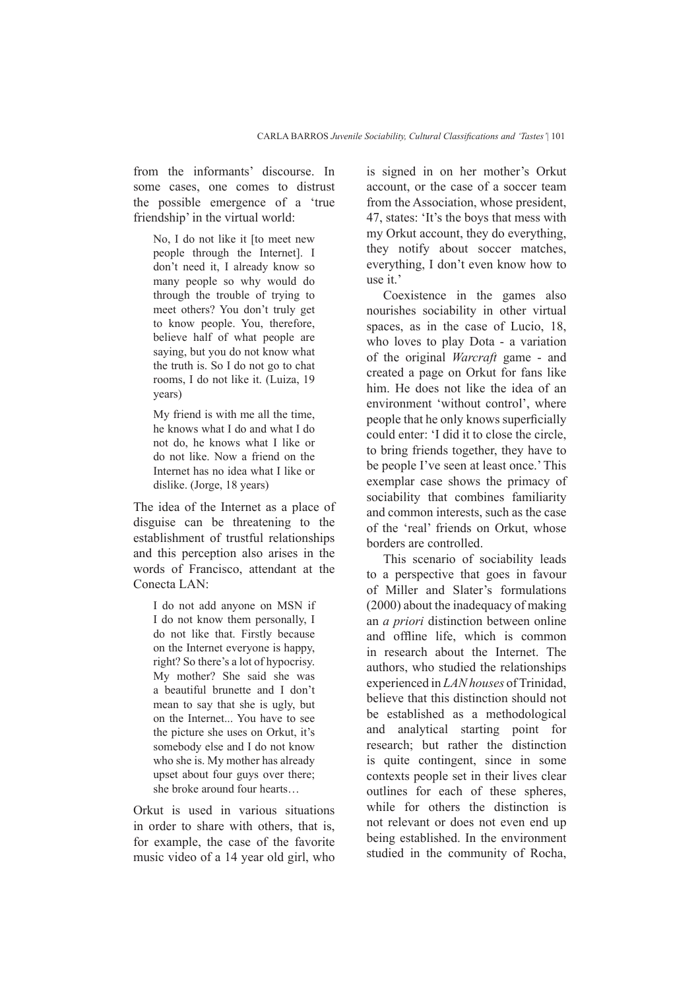from the informants' discourse. In some cases, one comes to distrust the possible emergence of a 'true friendship' in the virtual world:

No, I do not like it [to meet new people through the Internet]. I don't need it, I already know so many people so why would do through the trouble of trying to meet others? You don't truly get to know people. You, therefore, believe half of what people are saying, but you do not know what the truth is. So I do not go to chat rooms, I do not like it. (Luiza, 19 years)

My friend is with me all the time, he knows what I do and what I do not do, he knows what I like or do not like. Now a friend on the Internet has no idea what I like or dislike. (Jorge, 18 years)

The idea of the Internet as a place of disguise can be threatening to the establishment of trustful relationships and this perception also arises in the words of Francisco, attendant at the Conecta LAN:

I do not add anyone on MSN if I do not know them personally, I do not like that. Firstly because on the Internet everyone is happy, right? So there's a lot of hypocrisy. My mother? She said she was a beautiful brunette and I don't mean to say that she is ugly, but on the Internet... You have to see the picture she uses on Orkut, it's somebody else and I do not know who she is. My mother has already upset about four guys over there; she broke around four hearts…

Orkut is used in various situations in order to share with others, that is, for example, the case of the favorite music video of a 14 year old girl, who is signed in on her mother's Orkut account, or the case of a soccer team from the Association, whose president, 47, states: 'It's the boys that mess with my Orkut account, they do everything, they notify about soccer matches, everything, I don't even know how to use it.'

Coexistence in the games also nourishes sociability in other virtual spaces, as in the case of Lucio, 18, who loves to play Dota - a variation of the original *Warcraft* game - and created a page on Orkut for fans like him. He does not like the idea of an environment 'without control', where people that he only knows superficially could enter: 'I did it to close the circle, to bring friends together, they have to be people I've seen at least once.' This exemplar case shows the primacy of sociability that combines familiarity and common interests, such as the case of the 'real' friends on Orkut, whose borders are controlled.

This scenario of sociability leads to a perspective that goes in favour of Miller and Slater's formulations (2000) about the inadequacy of making an *a priori* distinction between online and offline life, which is common in research about the Internet. The authors, who studied the relationships experienced in *LAN houses* of Trinidad, believe that this distinction should not be established as a methodological and analytical starting point for research; but rather the distinction is quite contingent, since in some contexts people set in their lives clear outlines for each of these spheres, while for others the distinction is not relevant or does not even end up being established. In the environment studied in the community of Rocha,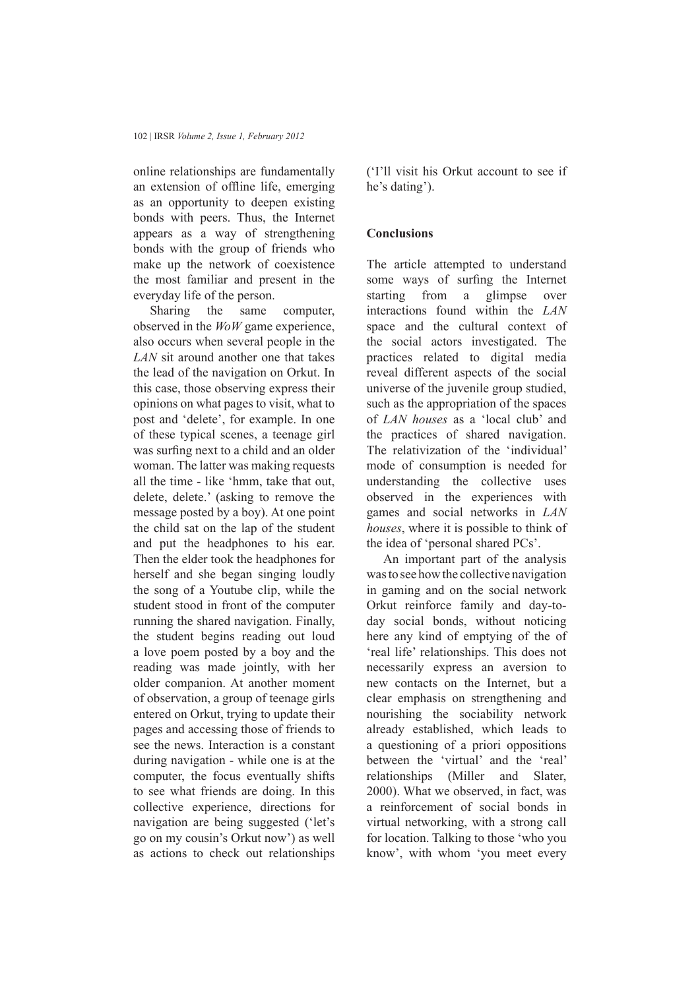online relationships are fundamentally an extension of offline life, emerging as an opportunity to deepen existing bonds with peers. Thus, the Internet appears as a way of strengthening bonds with the group of friends who make up the network of coexistence the most familiar and present in the everyday life of the person.

Sharing the same computer, observed in the *WoW* game experience, also occurs when several people in the *LAN* sit around another one that takes the lead of the navigation on Orkut. In this case, those observing express their opinions on what pages to visit, what to post and 'delete', for example. In one of these typical scenes, a teenage girl was surfing next to a child and an older woman. The latter was making requests all the time - like 'hmm, take that out, delete, delete.' (asking to remove the message posted by a boy). At one point the child sat on the lap of the student and put the headphones to his ear. Then the elder took the headphones for herself and she began singing loudly the song of a Youtube clip, while the student stood in front of the computer running the shared navigation. Finally, the student begins reading out loud a love poem posted by a boy and the reading was made jointly, with her older companion. At another moment of observation, a group of teenage girls entered on Orkut, trying to update their pages and accessing those of friends to see the news. Interaction is a constant during navigation - while one is at the computer, the focus eventually shifts to see what friends are doing. In this collective experience, directions for navigation are being suggested ('let's go on my cousin's Orkut now') as well as actions to check out relationships

('I'll visit his Orkut account to see if he's dating').

### **Conclusions**

The article attempted to understand some ways of surfing the Internet starting from a glimpse over interactions found within the *LAN* space and the cultural context of the social actors investigated. The practices related to digital media reveal different aspects of the social universe of the juvenile group studied, such as the appropriation of the spaces of *LAN houses* as a 'local club' and the practices of shared navigation. The relativization of the 'individual' mode of consumption is needed for understanding the collective uses observed in the experiences with games and social networks in *LAN houses*, where it is possible to think of the idea of 'personal shared PCs'.

An important part of the analysis was to see how the collective navigation in gaming and on the social network Orkut reinforce family and day-today social bonds, without noticing here any kind of emptying of the of 'real life' relationships. This does not necessarily express an aversion to new contacts on the Internet, but a clear emphasis on strengthening and nourishing the sociability network already established, which leads to a questioning of a priori oppositions between the 'virtual' and the 'real' relationships (Miller and Slater, 2000). What we observed, in fact, was a reinforcement of social bonds in virtual networking, with a strong call for location. Talking to those 'who you know', with whom 'you meet every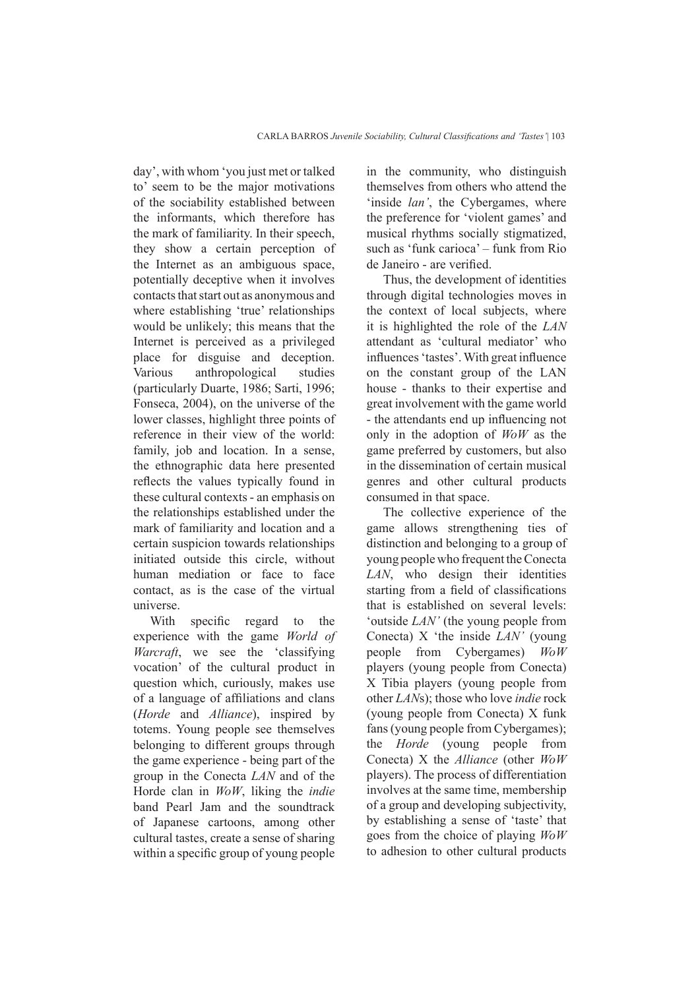day', with whom 'you just met or talked to' seem to be the major motivations of the sociability established between the informants, which therefore has the mark of familiarity. In their speech, they show a certain perception of the Internet as an ambiguous space, potentially deceptive when it involves contacts that start out as anonymous and where establishing 'true' relationships would be unlikely; this means that the Internet is perceived as a privileged place for disguise and deception. Various anthropological studies (particularly Duarte, 1986; Sarti, 1996; Fonseca, 2004), on the universe of the lower classes, highlight three points of reference in their view of the world: family, job and location. In a sense, the ethnographic data here presented reflects the values typically found in these cultural contexts - an emphasis on the relationships established under the mark of familiarity and location and a certain suspicion towards relationships initiated outside this circle, without human mediation or face to face contact, as is the case of the virtual universe.

With specific regard to the experience with the game *World of Warcraft*, we see the 'classifying vocation' of the cultural product in question which, curiously, makes use of a language of affiliations and clans (*Horde* and *Alliance*), inspired by totems. Young people see themselves belonging to different groups through the game experience - being part of the group in the Conecta *LAN* and of the Horde clan in *WoW*, liking the *indie* band Pearl Jam and the soundtrack of Japanese cartoons, among other cultural tastes, create a sense of sharing within a specific group of young people

in the community, who distinguish themselves from others who attend the 'inside *lan'*, the Cybergames, where the preference for 'violent games' and musical rhythms socially stigmatized, such as 'funk carioca' – funk from Rio de Janeiro - are verified.

Thus, the development of identities through digital technologies moves in the context of local subjects, where it is highlighted the role of the *LAN* attendant as 'cultural mediator' who influences 'tastes'. With great influence on the constant group of the LAN house - thanks to their expertise and great involvement with the game world - the attendants end up influencing not only in the adoption of *WoW* as the game preferred by customers, but also in the dissemination of certain musical genres and other cultural products consumed in that space.

The collective experience of the game allows strengthening ties of distinction and belonging to a group of young people who frequent the Conecta *LAN*, who design their identities starting from a field of classifications that is established on several levels: 'outside *LAN'* (the young people from Conecta) X 'the inside *LAN'* (young people from Cybergames) *WoW* players (young people from Conecta) X Tibia players (young people from other *LAN*s); those who love *indie* rock (young people from Conecta) X funk fans (young people from Cybergames); the *Horde* (young people from Conecta) X the *Alliance* (other *WoW* players). The process of differentiation involves at the same time, membership of a group and developing subjectivity, by establishing a sense of 'taste' that goes from the choice of playing *WoW* to adhesion to other cultural products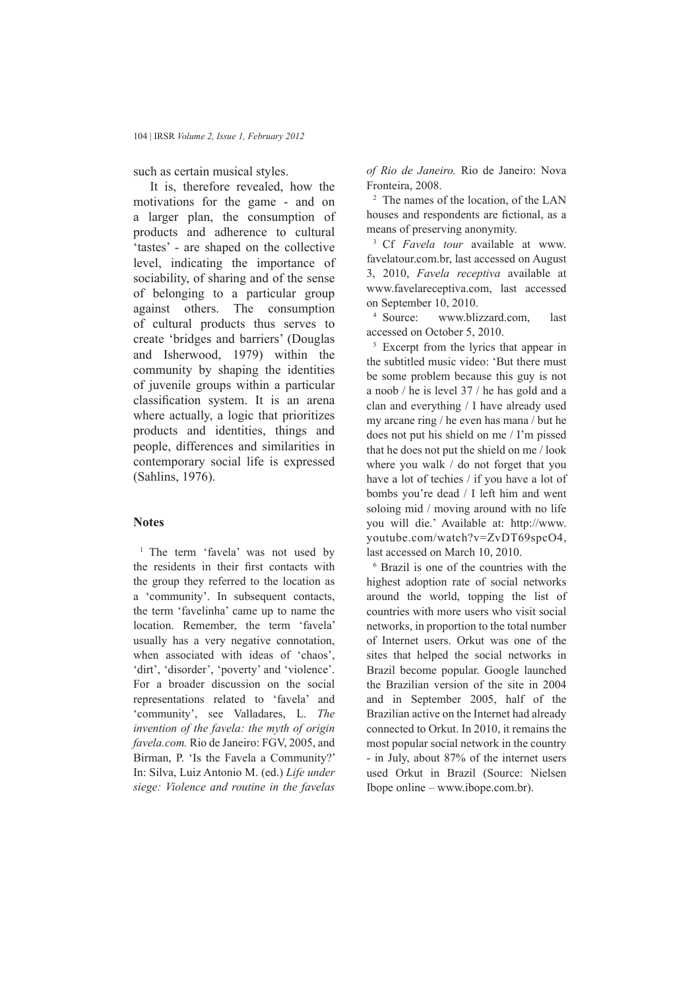such as certain musical styles.

It is, therefore revealed, how the motivations for the game - and on a larger plan, the consumption of products and adherence to cultural 'tastes' - are shaped on the collective level, indicating the importance of sociability, of sharing and of the sense of belonging to a particular group against others. The consumption of cultural products thus serves to create 'bridges and barriers' (Douglas and Isherwood, 1979) within the community by shaping the identities of juvenile groups within a particular classification system. It is an arena where actually, a logic that prioritizes products and identities, things and people, differences and similarities in contemporary social life is expressed (Sahlins, 1976).

#### **Notes**

<sup>1</sup> The term 'favela' was not used by the residents in their first contacts with the group they referred to the location as a 'community'. In subsequent contacts, the term 'favelinha' came up to name the location. Remember, the term 'favela' usually has a very negative connotation, when associated with ideas of 'chaos', 'dirt', 'disorder', 'poverty' and 'violence'. For a broader discussion on the social representations related to 'favela' and 'community', see Valladares, L. *The invention of the favela: the myth of origin favela.com.* Rio de Janeiro: FGV, 2005, and Birman, P. 'Is the Favela a Community?' In: Silva, Luiz Antonio M. (ed.) *Life under siege: Violence and routine in the favelas* 

*of Rio de Janeiro.* Rio de Janeiro: Nova Fronteira, 2008.

<sup>2</sup> The names of the location, of the LAN houses and respondents are fictional, as a means of preserving anonymity.

<sup>3</sup> Cf *Favela tour* available at www. favelatour.com.br, last accessed on August 3, 2010, *Favela receptiva* available at www.favelareceptiva.com, last accessed on September 10, 2010.

<sup>4</sup> Source: www.blizzard.com, last accessed on October 5, 2010.

<sup>5</sup> Excerpt from the lyrics that appear in the subtitled music video: 'But there must be some problem because this guy is not a noob / he is level 37 / he has gold and a clan and everything / I have already used my arcane ring / he even has mana / but he does not put his shield on me / I'm pissed that he does not put the shield on me / look where you walk / do not forget that you have a lot of techies / if you have a lot of bombs you're dead / I left him and went soloing mid / moving around with no life you will die.' Available at: http://www. youtube.com/watch?v=ZvDT69spcO4, last accessed on March 10, 2010.

6 Brazil is one of the countries with the highest adoption rate of social networks around the world, topping the list of countries with more users who visit social networks, in proportion to the total number of Internet users. Orkut was one of the sites that helped the social networks in Brazil become popular. Google launched the Brazilian version of the site in 2004 and in September 2005, half of the Brazilian active on the Internet had already connected to Orkut. In 2010, it remains the most popular social network in the country - in July, about 87% of the internet users used Orkut in Brazil (Source: Nielsen Ibope online – www.ibope.com.br).